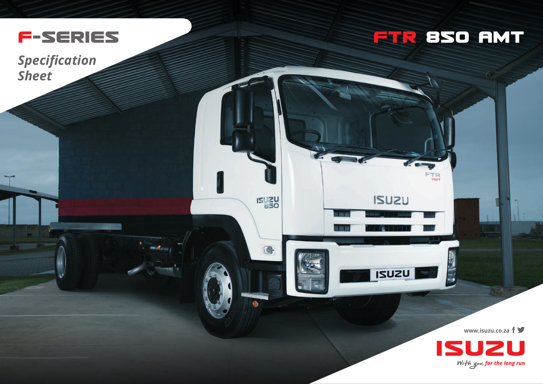

*Specification Sheet*

## **FTR 85O AMT**

**FTR** 

 $\sim$ 

**ISUZU** 

**ISUZU** 

**ISUZU** 

国

**www.isuzu.co.za**